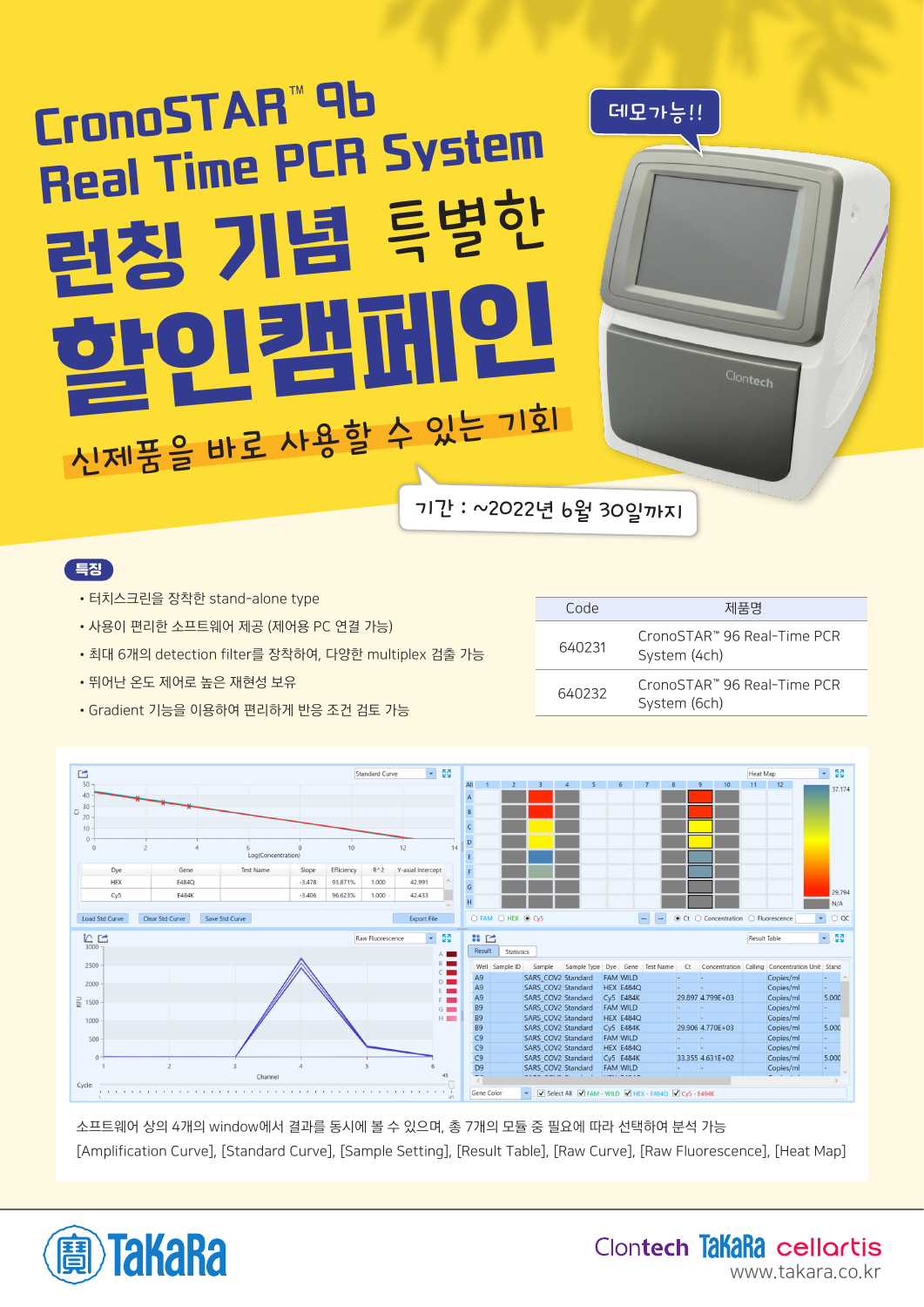# 런칭 기념 특별한 할인캠페인 CronoSTAR™96 CronoSTAH TU<br>Real Time PCR System 기간 : ~2022년 6월 30일까지 신제품을 바로 사용할 수 있는 기회

## 특징

- •터치스크린을 장착한 stand-alone type
- •사용이 편리한 소프트웨어 제공 (제어용 PC 연결 가능)
- •최대 6개의 detection filter를 장착하여, 다양한 multiplex 검출 가능
- •뛰어난 온도 제어로 높은 재현성 보유

| Code   | 제품명                                         |
|--------|---------------------------------------------|
| 640231 | CronoSTAR™ 96 Real-Time PCR<br>System (4ch) |
| 640232 | CronoSTAR™ 96 Real-Time PCR<br>System (6ch) |

•Gradient 기능을 이용하여 편리하게 반응 조건 검토 가능



소프트웨어 상의 4개의 window에서 결과를 동시에 볼 수 있으며, 총 7개의 모듈 중 필요에 따라 선택하여 분석 가능 [Amplification Curve], [Standard Curve], [Sample Setting], [Result Table], [Raw Curve], [Raw Fluorescence], [Heat Map]



Clontech TakaRa cellortis www.takara.co.kr